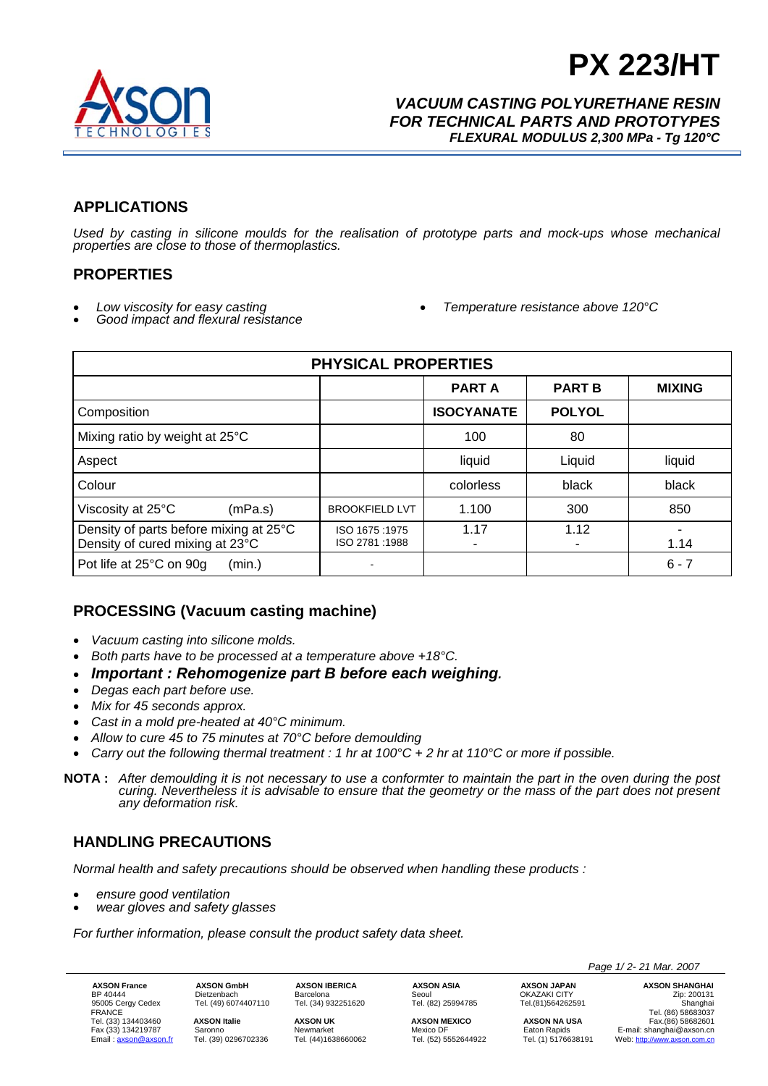

# **PX 223/HT**

*VACUUM CASTING POLYURETHANE RESIN FOR TECHNICAL PARTS AND PROTOTYPES FLEXURAL MODULUS 2,300 MPa - Tg 120°C*

## **APPLICATIONS**

*Used by casting in silicone moulds for the realisation of prototype parts and mock-ups whose mechanical properties are close to those of thermoplastics.* 

#### **PROPERTIES**

- 
- *Low viscosity for easy casting Good impact and flexural resistance Temperature resistance above 120°C*
- 

| <b>PHYSICAL PROPERTIES</b>                                                |                                |                   |               |               |  |  |
|---------------------------------------------------------------------------|--------------------------------|-------------------|---------------|---------------|--|--|
|                                                                           |                                | <b>PART A</b>     | <b>PART B</b> | <b>MIXING</b> |  |  |
| Composition                                                               |                                | <b>ISOCYANATE</b> | <b>POLYOL</b> |               |  |  |
| Mixing ratio by weight at 25°C                                            |                                | 100               | 80            |               |  |  |
| Aspect                                                                    |                                | liquid            | Liquid        | liquid        |  |  |
| Colour                                                                    |                                | colorless         | black         | black         |  |  |
| Viscosity at 25°C<br>(mPa.s)                                              | <b>BROOKFIELD LVT</b>          | 1.100             | 300           | 850           |  |  |
| Density of parts before mixing at 25°C<br>Density of cured mixing at 23°C | ISO 1675:1975<br>ISO 2781:1988 | 1.17              | 1.12          | 1.14          |  |  |
| Pot life at 25°C on 90g<br>(min.)                                         |                                |                   |               | $6 - 7$       |  |  |

## **PROCESSING (Vacuum casting machine)**

- *Vacuum casting into silicone molds.*
- *Both parts have to be processed at a temperature above +18°C.*
- *Important : Rehomogenize part B before each weighing.*
- *Degas each part before use.*
- *Mix for 45 seconds approx.*
- *Cast in a mold pre-heated at 40°C minimum.*
- *Allow to cure 45 to 75 minutes at 70°C before demoulding*
- *Carry out the following thermal treatment : 1 hr at 100°C + 2 hr at 110°C or more if possible.*
- **NOTA :** *After demoulding it is not necessary to use a conformter to maintain the part in the oven during the post curing. Nevertheless it is advisable to ensure that the geometry or the mass of the part does not present any deformation risk.*

#### **HANDLING PRECAUTIONS**

*Normal health and safety precautions should be observed when handling these products :* 

- *ensure good ventilation*
- *wear gloves and safety glasses*

*For further information, please consult the product safety data sheet.* 

**AXSON France AXSON GmbH AXSON IBERICA AXSON ASIA AXSON JAPAN AXSON SHANGHAI**<br>BP 40444 Dietzenbach Barcelona Seoul OKAZAKI CITY ORAZARI Zip: 200131<br>95005 Cergy Cedex Tel. (49) 6074407110 Tel. (34) 932251620 Tel. (82) 25994 BP 40444 Dietzenbach Barcelona Seoul OKAZAKI CITY Zip: 200131 الله المسلم المسلم المسلم المسلم المسلم المسلم المسلم المسلم المسلم المسلم المسلم المسلم المسلم المسلم المسلم ال<br>195005 Cedex Tel. (49) 6074407110 Tel. (34) 932251620 Tel. (82) 25994785 Tel.(81)564262591 Tel. (86) 586330 FRANCE Tel. (86) 58683037 Tel. (33) 134403460 **AXSON Italie AXSON UK AXSON MEXICO AXSON NA USA** Fax.(86) 58682601 Fax (33) 134219787 Saronno Newmarket Nexico DF Eaton Rapids E-mail: shanghai@axson.cn<br>
Email: <u>axson@axson.fr</u> Tel. (39) 0296702336 Tel. (44)1638660062 Tel. (52) 5552644922 Tel. (1) 5176638191 Web: http://www.axson.com.cn Web: http://www.axson.com.cn

*Page 1/ 2- 21 Mar. 2007*